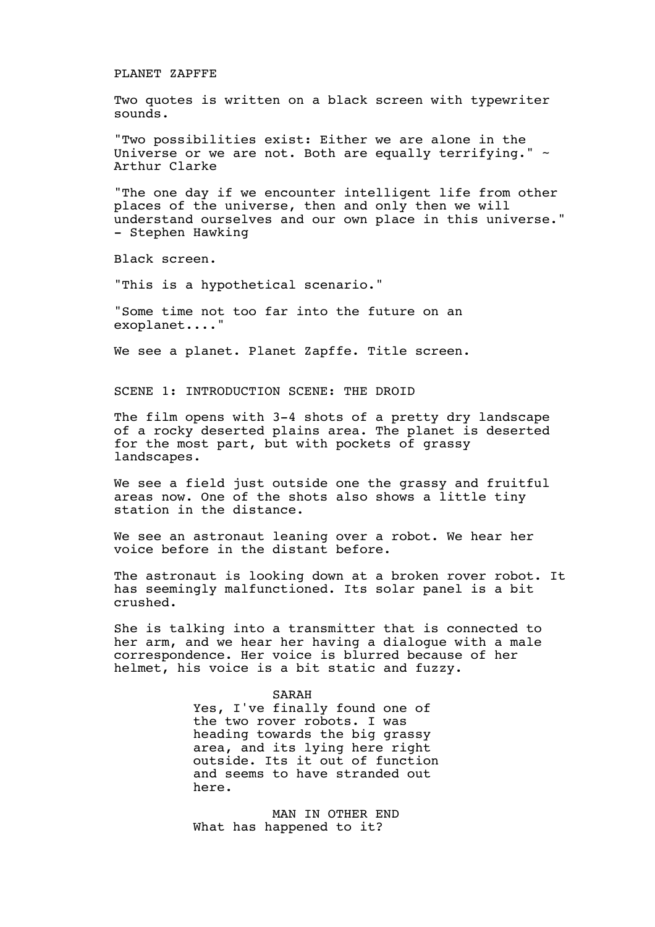## PLANET ZAPFFE

Two quotes is written on a black screen with typewriter sounds.

"Two possibilities exist: Either we are alone in the Universe or we are not. Both are equally terrifying."  $\sim$ Arthur Clarke

"The one day if we encounter intelligent life from other places of the universe, then and only then we will understand ourselves and our own place in this universe." - Stephen Hawking

Black screen.

"This is a hypothetical scenario."

"Some time not too far into the future on an exoplanet...."

We see a planet. Planet Zapffe. Title screen.

SCENE 1: INTRODUCTION SCENE: THE DROID

The film opens with 3-4 shots of a pretty dry landscape of a rocky deserted plains area. The planet is deserted for the most part, but with pockets of grassy landscapes.

We see a field just outside one the grassy and fruitful areas now. One of the shots also shows a little tiny station in the distance.

We see an astronaut leaning over a robot. We hear her voice before in the distant before.

The astronaut is looking down at a broken rover robot. It has seemingly malfunctioned. Its solar panel is a bit crushed.

She is talking into a transmitter that is connected to her arm, and we hear her having a dialogue with a male correspondence. Her voice is blurred because of her helmet, his voice is a bit static and fuzzy.

SARAH

Yes, I've finally found one of the two rover robots. I was heading towards the big grassy area, and its lying here right outside. Its it out of function and seems to have stranded out here.

MAN IN OTHER END What has happened to it?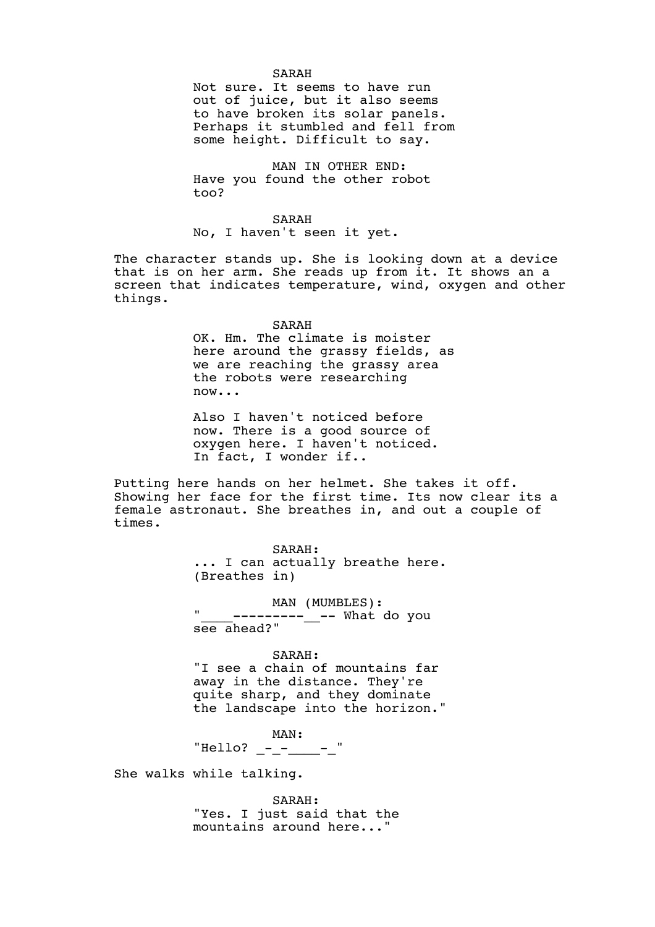### SARAH

Not sure. It seems to have run out of juice, but it also seems to have broken its solar panels. Perhaps it stumbled and fell from some height. Difficult to say.

MAN IN OTHER END: Have you found the other robot too?

SARAH No, I haven't seen it yet.

The character stands up. She is looking down at a device that is on her arm. She reads up from it. It shows an a screen that indicates temperature, wind, oxygen and other things.

SARAH

OK. Hm. The climate is moister here around the grassy fields, as we are reaching the grassy area the robots were researching now...

Also I haven't noticed before now. There is a good source of oxygen here. I haven't noticed. In fact, I wonder if..

Putting here hands on her helmet. She takes it off. Showing her face for the first time. Its now clear its a female astronaut. She breathes in, and out a couple of times.

> SARAH: ... I can actually breathe here. (Breathes in)

MAN (MUMBLES): " ----------<sub>--</sub>-- What do you see ahead?"

## SARAH:

"I see a chain of mountains far away in the distance. They're quite sharp, and they dominate the landscape into the horizon."

MAN: "Hello? \_-\_-\_\_\_\_-\_"

She walks while talking.

SARAH: "Yes. I just said that the mountains around here..."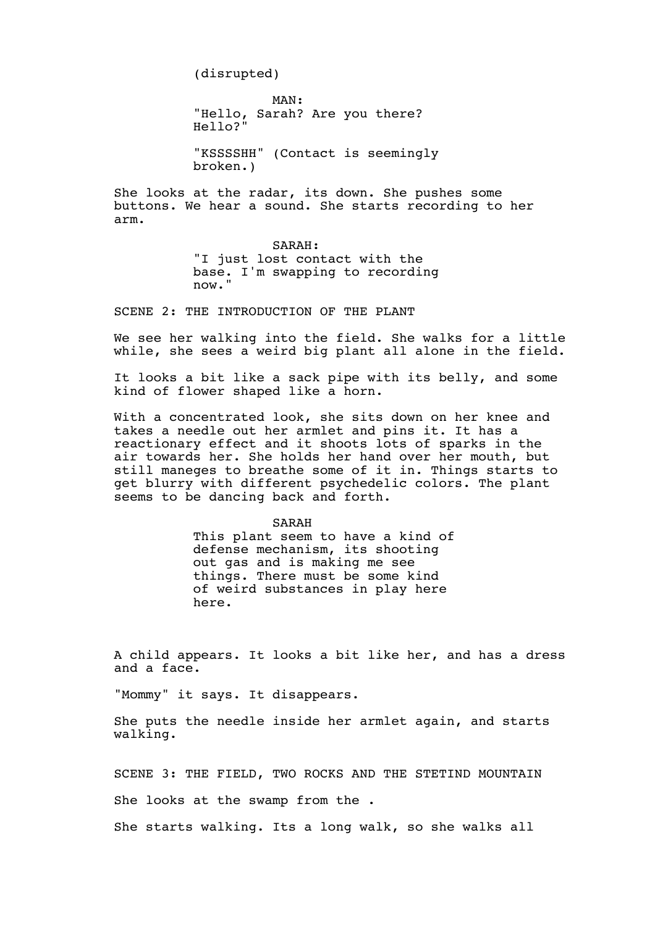(disrupted)

MAN: "Hello, Sarah? Are you there? Hello?"

"KSSSSHH" (Contact is seemingly broken.)

She looks at the radar, its down. She pushes some buttons. We hear a sound. She starts recording to her arm.

> SARAH: "I just lost contact with the base. I'm swapping to recording now."

SCENE 2: THE INTRODUCTION OF THE PLANT

We see her walking into the field. She walks for a little while, she sees a weird big plant all alone in the field.

It looks a bit like a sack pipe with its belly, and some kind of flower shaped like a horn.

With a concentrated look, she sits down on her knee and takes a needle out her armlet and pins it. It has a reactionary effect and it shoots lots of sparks in the air towards her. She holds her hand over her mouth, but still maneges to breathe some of it in. Things starts to get blurry with different psychedelic colors. The plant seems to be dancing back and forth.

> SARAH This plant seem to have a kind of defense mechanism, its shooting out gas and is making me see things. There must be some kind of weird substances in play here here.

A child appears. It looks a bit like her, and has a dress and a face.

"Mommy" it says. It disappears.

She puts the needle inside her armlet again, and starts walking.

SCENE 3: THE FIELD, TWO ROCKS AND THE STETIND MOUNTAIN

She looks at the swamp from the .

She starts walking. Its a long walk, so she walks all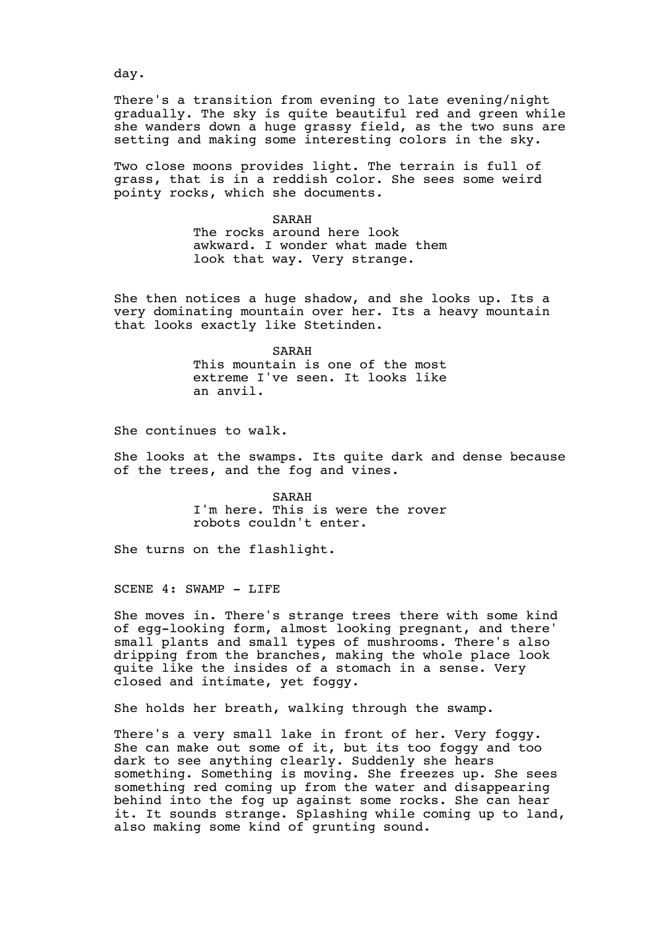day.

There's a transition from evening to late evening/night gradually. The sky is quite beautiful red and green while she wanders down a huge grassy field, as the two suns are setting and making some interesting colors in the sky.

Two close moons provides light. The terrain is full of grass, that is in a reddish color. She sees some weird pointy rocks, which she documents.

> SARAH The rocks around here look awkward. I wonder what made them look that way. Very strange.

She then notices a huge shadow, and she looks up. Its a very dominating mountain over her. Its a heavy mountain that looks exactly like Stetinden.

> SARAH This mountain is one of the most extreme I've seen. It looks like an anvil.

She continues to walk.

She looks at the swamps. Its quite dark and dense because of the trees, and the fog and vines.

> SARAH I'm here. This is were the rover robots couldn't enter.

She turns on the flashlight.

SCENE 4: SWAMP - LIFE

She moves in. There's strange trees there with some kind of egg-looking form, almost looking pregnant, and there' small plants and small types of mushrooms. There's also dripping from the branches, making the whole place look quite like the insides of a stomach in a sense. Very closed and intimate, yet foggy.

She holds her breath, walking through the swamp.

There's a very small lake in front of her. Very foggy. She can make out some of it, but its too foggy and too dark to see anything clearly. Suddenly she hears something. Something is moving. She freezes up. She sees something red coming up from the water and disappearing behind into the fog up against some rocks. She can hear it. It sounds strange. Splashing while coming up to land, also making some kind of grunting sound.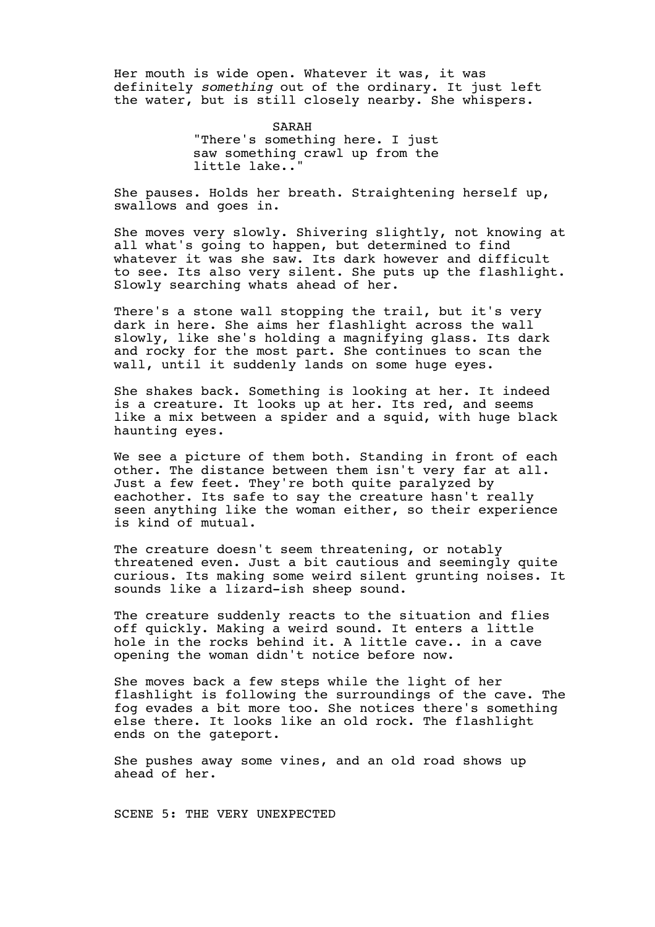Her mouth is wide open. Whatever it was, it was definitely *something* out of the ordinary. It just left the water, but is still closely nearby. She whispers.

> SARAH "There's something here. I just saw something crawl up from the little lake.."

She pauses. Holds her breath. Straightening herself up, swallows and goes in.

She moves very slowly. Shivering slightly, not knowing at all what's going to happen, but determined to find whatever it was she saw. Its dark however and difficult to see. Its also very silent. She puts up the flashlight. Slowly searching whats ahead of her.

There's a stone wall stopping the trail, but it's very dark in here. She aims her flashlight across the wall slowly, like she's holding a magnifying glass. Its dark and rocky for the most part. She continues to scan the wall, until it suddenly lands on some huge eyes.

She shakes back. Something is looking at her. It indeed is a creature. It looks up at her. Its red, and seems like a mix between a spider and a squid, with huge black haunting eyes.

We see a picture of them both. Standing in front of each other. The distance between them isn't very far at all. Just a few feet. They're both quite paralyzed by eachother. Its safe to say the creature hasn't really seen anything like the woman either, so their experience is kind of mutual.

The creature doesn't seem threatening, or notably threatened even. Just a bit cautious and seemingly quite curious. Its making some weird silent grunting noises. It sounds like a lizard-ish sheep sound.

The creature suddenly reacts to the situation and flies off quickly. Making a weird sound. It enters a little hole in the rocks behind it. A little cave.. in a cave opening the woman didn't notice before now.

She moves back a few steps while the light of her flashlight is following the surroundings of the cave. The fog evades a bit more too. She notices there's something else there. It looks like an old rock. The flashlight ends on the gateport.

She pushes away some vines, and an old road shows up ahead of her.

SCENE 5: THE VERY UNEXPECTED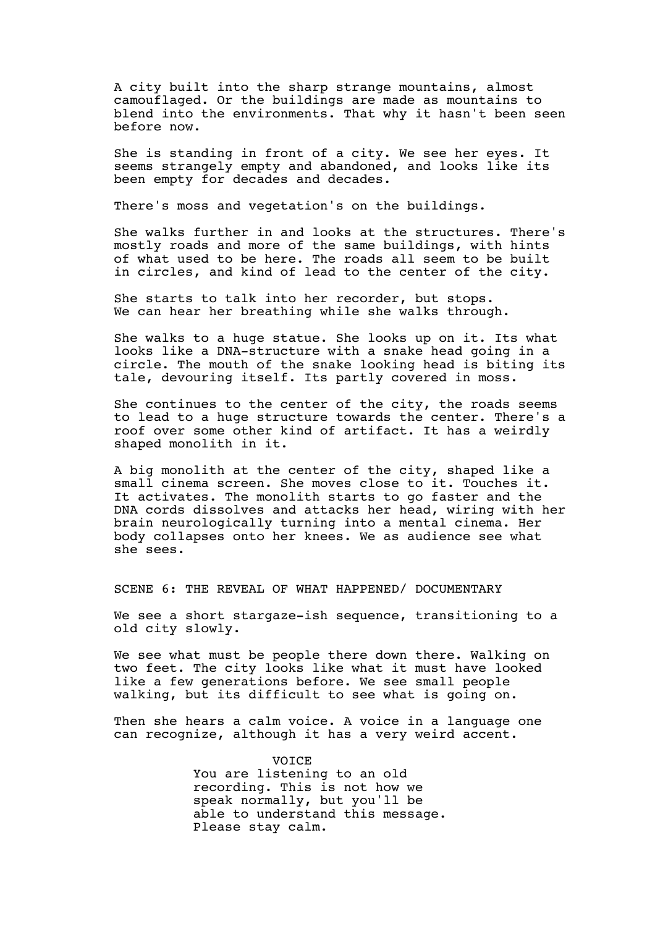A city built into the sharp strange mountains, almost camouflaged. Or the buildings are made as mountains to blend into the environments. That why it hasn't been seen before now.

She is standing in front of a city. We see her eyes. It seems strangely empty and abandoned, and looks like its been empty for decades and decades.

There's moss and vegetation's on the buildings.

She walks further in and looks at the structures. There's mostly roads and more of the same buildings, with hints of what used to be here. The roads all seem to be built in circles, and kind of lead to the center of the city.

She starts to talk into her recorder, but stops. We can hear her breathing while she walks through.

She walks to a huge statue. She looks up on it. Its what looks like a DNA-structure with a snake head going in a circle. The mouth of the snake looking head is biting its tale, devouring itself. Its partly covered in moss.

She continues to the center of the city, the roads seems to lead to a huge structure towards the center. There's a roof over some other kind of artifact. It has a weirdly shaped monolith in it.

A big monolith at the center of the city, shaped like a small cinema screen. She moves close to it. Touches it. It activates. The monolith starts to go faster and the DNA cords dissolves and attacks her head, wiring with her brain neurologically turning into a mental cinema. Her body collapses onto her knees. We as audience see what she sees.

SCENE 6: THE REVEAL OF WHAT HAPPENED/ DOCUMENTARY

We see a short stargaze-ish sequence, transitioning to a old city slowly.

We see what must be people there down there. Walking on two feet. The city looks like what it must have looked like a few generations before. We see small people walking, but its difficult to see what is going on.

Then she hears a calm voice. A voice in a language one can recognize, although it has a very weird accent.

> VOICE You are listening to an old recording. This is not how we speak normally, but you'll be able to understand this message. Please stay calm.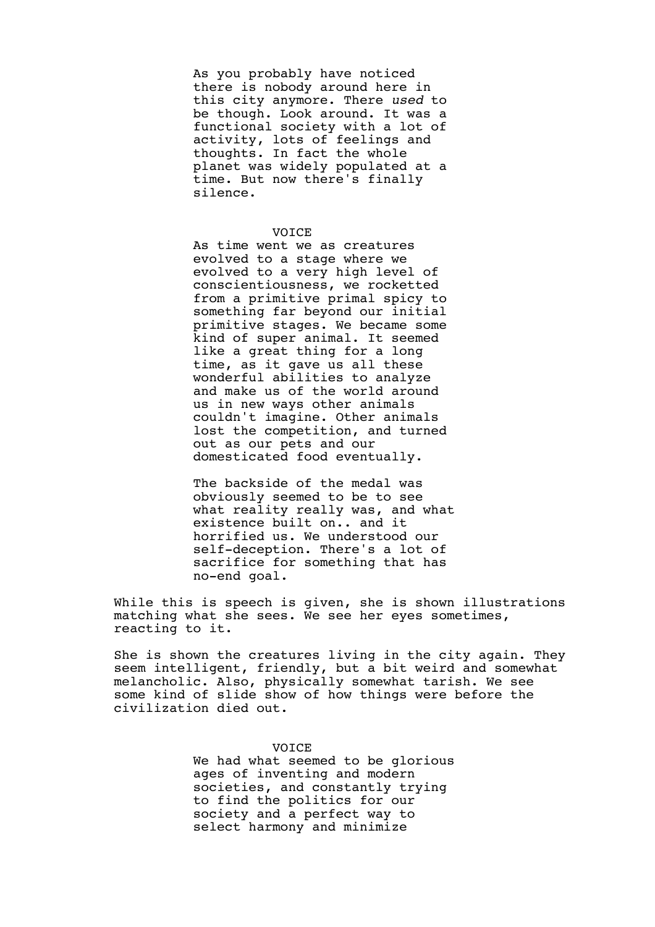As you probably have noticed there is nobody around here in this city anymore. There *used* to be though. Look around. It was a functional society with a lot of activity, lots of feelings and thoughts. In fact the whole planet was widely populated at a time. But now there's finally silence.

### VOICE

As time went we as creatures evolved to a stage where we evolved to a very high level of conscientiousness, we rocketted from a primitive primal spicy to something far beyond our initial primitive stages. We became some kind of super animal. It seemed like a great thing for a long time, as it gave us all these wonderful abilities to analyze and make us of the world around us in new ways other animals couldn't imagine. Other animals lost the competition, and turned out as our pets and our domesticated food eventually.

The backside of the medal was obviously seemed to be to see what reality really was, and what existence built on.. and it horrified us. We understood our self-deception. There's a lot of sacrifice for something that has no-end goal.

While this is speech is given, she is shown illustrations matching what she sees. We see her eyes sometimes, reacting to it.

She is shown the creatures living in the city again. They seem intelligent, friendly, but a bit weird and somewhat melancholic. Also, physically somewhat tarish. We see some kind of slide show of how things were before the civilization died out.

# VOICE

We had what seemed to be glorious ages of inventing and modern societies, and constantly trying to find the politics for our society and a perfect way to select harmony and minimize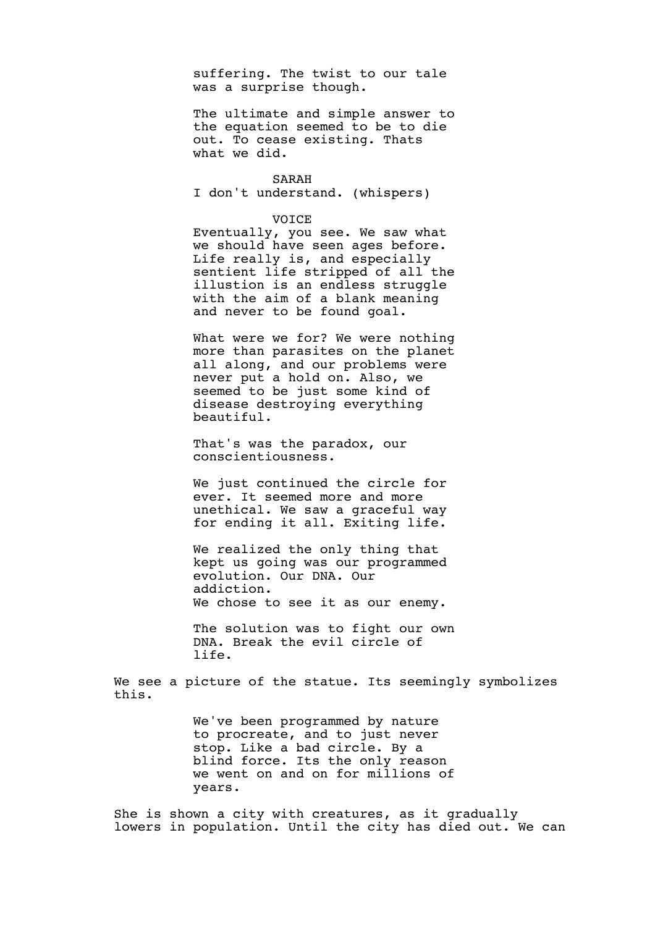suffering. The twist to our tale was a surprise though.

The ultimate and simple answer to the equation seemed to be to die out. To cease existing. Thats what we did.

# SARAH

I don't understand. (whispers)

### VOICE

Eventually, you see. We saw what we should have seen ages before. Life really is, and especially sentient life stripped of all the illustion is an endless struggle with the aim of a blank meaning and never to be found goal.

What were we for? We were nothing more than parasites on the planet all along, and our problems were never put a hold on. Also, we seemed to be just some kind of disease destroying everything beautiful.

That's was the paradox, our conscientiousness.

We just continued the circle for ever. It seemed more and more unethical. We saw a graceful way for ending it all. Exiting life.

We realized the only thing that kept us going was our programmed evolution. Our DNA. Our addiction. We chose to see it as our enemy.

The solution was to fight our own DNA. Break the evil circle of life.

We see a picture of the statue. Its seemingly symbolizes this.

> We've been programmed by nature to procreate, and to just never stop. Like a bad circle. By a blind force. Its the only reason we went on and on for millions of years.

She is shown a city with creatures, as it gradually lowers in population. Until the city has died out. We can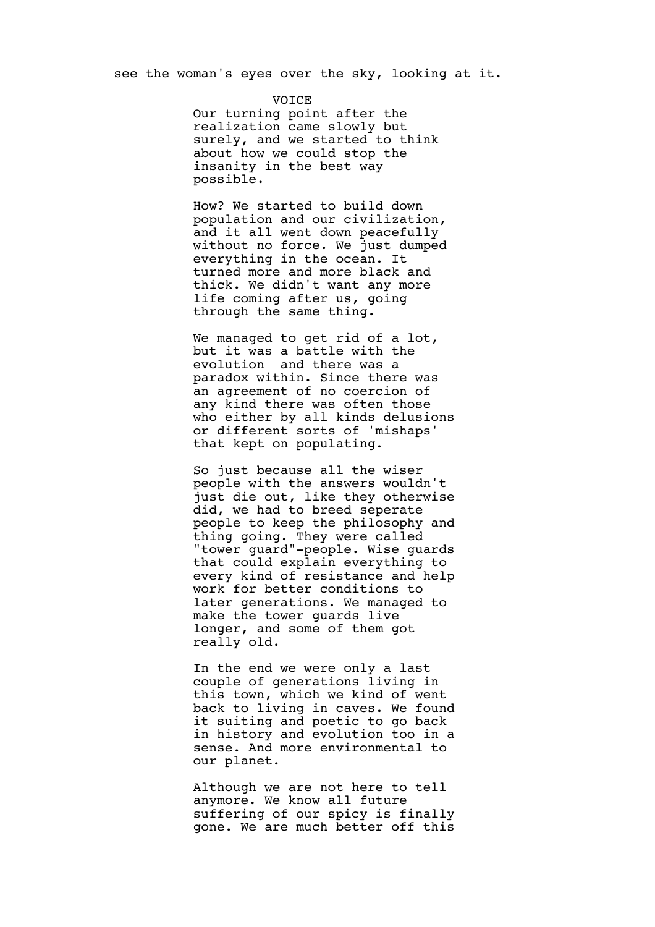**VOTCE** Our turning point after the realization came slowly but surely, and we started to think about how we could stop the insanity in the best way possible.

How? We started to build down population and our civilization, and it all went down peacefully without no force. We just dumped everything in the ocean. It turned more and more black and thick. We didn't want any more life coming after us, going through the same thing.

We managed to get rid of a lot, but it was a battle with the evolution and there was a paradox within. Since there was an agreement of no coercion of any kind there was often those who either by all kinds delusions or different sorts of 'mishaps' that kept on populating.

So just because all the wiser people with the answers wouldn't just die out, like they otherwise did, we had to breed seperate people to keep the philosophy and thing going. They were called "tower guard"-people. Wise guards that could explain everything to every kind of resistance and help work for better conditions to later generations. We managed to make the tower guards live longer, and some of them got really old.

In the end we were only a last couple of generations living in this town, which we kind of went back to living in caves. We found it suiting and poetic to go back in history and evolution too in a sense. And more environmental to our planet.

Although we are not here to tell anymore. We know all future suffering of our spicy is finally gone. We are much better off this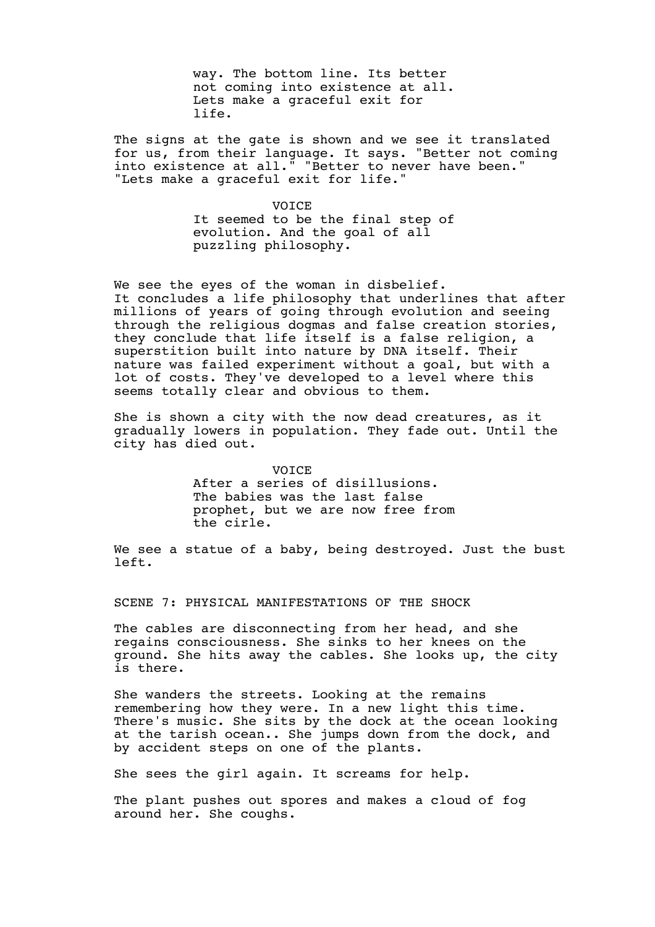way. The bottom line. Its better not coming into existence at all. Lets make a graceful exit for life.

The signs at the gate is shown and we see it translated for us, from their language. It says. "Better not coming into existence at all." "Better to never have been." "Lets make a graceful exit for life."

> **VOTCE** It seemed to be the final step of evolution. And the goal of all puzzling philosophy.

We see the eyes of the woman in disbelief. It concludes a life philosophy that underlines that after millions of years of going through evolution and seeing through the religious dogmas and false creation stories, they conclude that life itself is a false religion, a superstition built into nature by DNA itself. Their nature was failed experiment without a goal, but with a lot of costs. They've developed to a level where this seems totally clear and obvious to them.

She is shown a city with the now dead creatures, as it gradually lowers in population. They fade out. Until the city has died out.

> VOICE After a series of disillusions. The babies was the last false prophet, but we are now free from the cirle.

We see a statue of a baby, being destroyed. Just the bust left.

SCENE 7: PHYSICAL MANIFESTATIONS OF THE SHOCK

The cables are disconnecting from her head, and she regains consciousness. She sinks to her knees on the ground. She hits away the cables. She looks up, the city is there.

She wanders the streets. Looking at the remains remembering how they were. In a new light this time. There's music. She sits by the dock at the ocean looking at the tarish ocean.. She jumps down from the dock, and by accident steps on one of the plants.

She sees the girl again. It screams for help.

The plant pushes out spores and makes a cloud of fog around her. She coughs.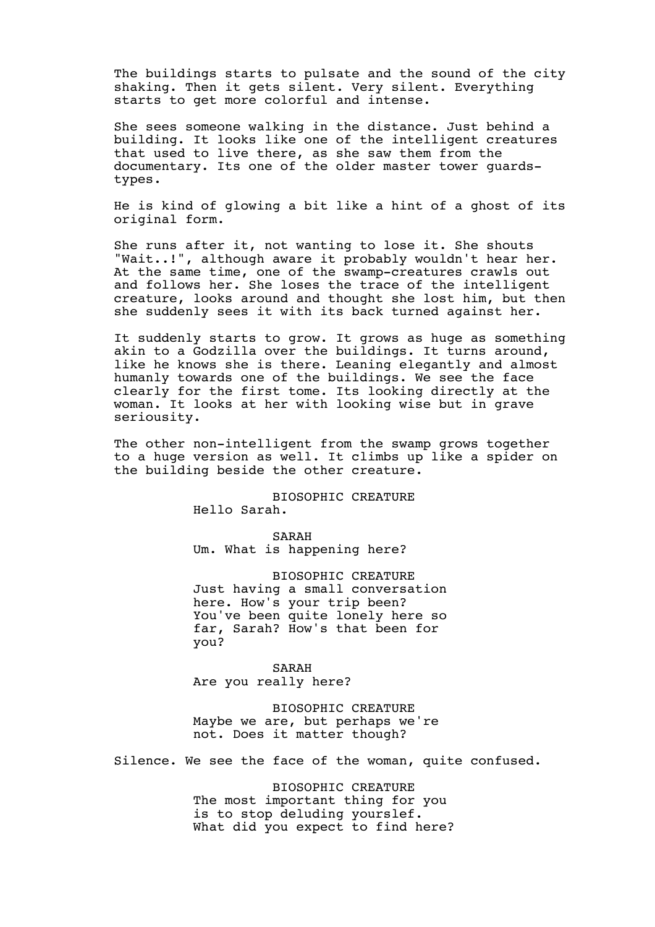The buildings starts to pulsate and the sound of the city shaking. Then it gets silent. Very silent. Everything starts to get more colorful and intense.

She sees someone walking in the distance. Just behind a building. It looks like one of the intelligent creatures that used to live there, as she saw them from the documentary. Its one of the older master tower guardstypes.

He is kind of glowing a bit like a hint of a ghost of its original form.

She runs after it, not wanting to lose it. She shouts "Wait..!", although aware it probably wouldn't hear her. At the same time, one of the swamp-creatures crawls out and follows her. She loses the trace of the intelligent creature, looks around and thought she lost him, but then she suddenly sees it with its back turned against her.

It suddenly starts to grow. It grows as huge as something akin to a Godzilla over the buildings. It turns around, like he knows she is there. Leaning elegantly and almost humanly towards one of the buildings. We see the face clearly for the first tome. Its looking directly at the woman. It looks at her with looking wise but in grave seriousity.

The other non-intelligent from the swamp grows together to a huge version as well. It climbs up like a spider on the building beside the other creature.

> BIOSOPHIC CREATURE Hello Sarah.

SARAH Um. What is happening here?

BIOSOPHIC CREATURE Just having a small conversation here. How's your trip been? You've been quite lonely here so far, Sarah? How's that been for you?

SARAH Are you really here?

BIOSOPHIC CREATURE Maybe we are, but perhaps we're not. Does it matter though?

Silence. We see the face of the woman, quite confused.

BIOSOPHIC CREATURE The most important thing for you is to stop deluding yourslef. What did you expect to find here?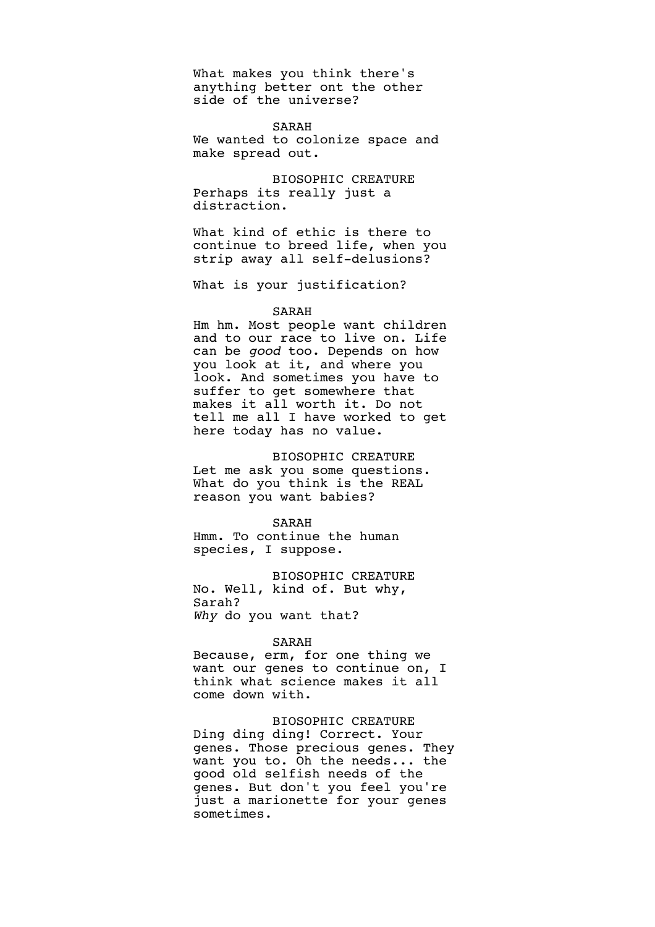What makes you think there's anything better ont the other side of the universe?

SARAH We wanted to colonize space and make spread out.

BIOSOPHIC CREATURE Perhaps its really just a distraction.

What kind of ethic is there to continue to breed life, when you strip away all self-delusions?

What is your justification?

#### SARAH

Hm hm. Most people want children and to our race to live on. Life can be *good* too. Depends on how you look at it, and where you look. And sometimes you have to suffer to get somewhere that makes it all worth it. Do not tell me all I have worked to get here today has no value.

BIOSOPHIC CREATURE

Let me ask you some questions. What do you think is the REAL reason you want babies?

SARAH

Hmm. To continue the human species, I suppose.

BIOSOPHIC CREATURE No. Well, kind of. But why, Sarah? *Why* do you want that?

### SARAH

Because, erm, for one thing we want our genes to continue on, I think what science makes it all come down with.

BIOSOPHIC CREATURE Ding ding ding! Correct. Your genes. Those precious genes. They want you to. Oh the needs... the good old selfish needs of the genes. But don't you feel you're just a marionette for your genes sometimes.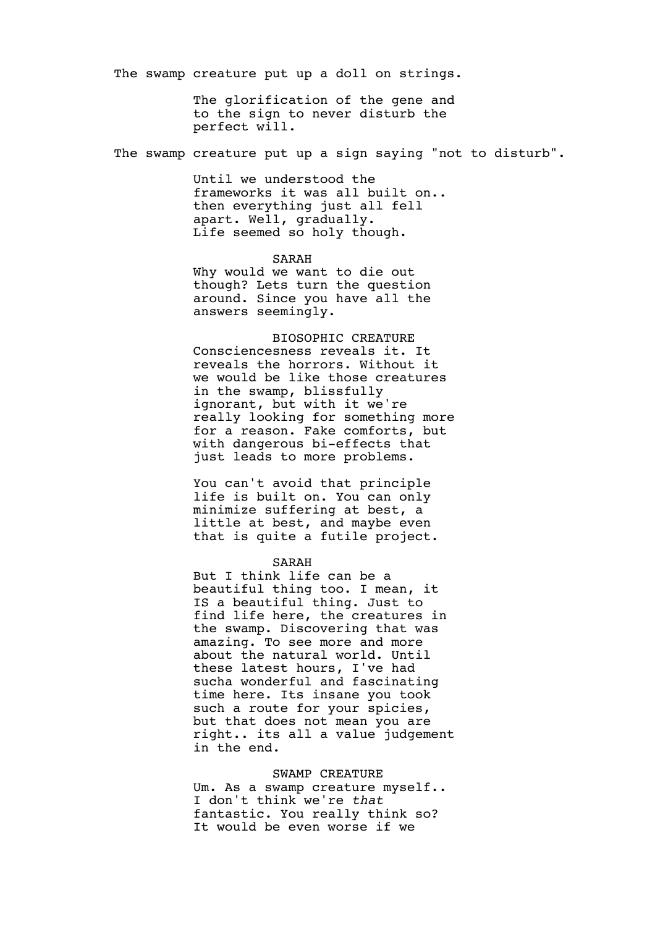The swamp creature put up a doll on strings.

The glorification of the gene and to the sign to never disturb the perfect will.

The swamp creature put up a sign saying "not to disturb".

Until we understood the frameworks it was all built on.. then everything just all fell apart. Well, gradually. Life seemed so holy though.

# SARAH

Why would we want to die out though? Lets turn the question around. Since you have all the answers seemingly.

BIOSOPHIC CREATURE Consciencesness reveals it. It reveals the horrors. Without it we would be like those creatures in the swamp, blissfully ignorant, but with it we're really looking for something more for a reason. Fake comforts, but with dangerous bi-effects that just leads to more problems.

You can't avoid that principle life is built on. You can only minimize suffering at best, a little at best, and maybe even that is quite a futile project.

#### SARAH

But I think life can be a beautiful thing too. I mean, it IS a beautiful thing. Just to find life here, the creatures in the swamp. Discovering that was amazing. To see more and more about the natural world. Until these latest hours, I've had sucha wonderful and fascinating time here. Its insane you took such a route for your spicies, but that does not mean you are right.. its all a value judgement in the end.

# SWAMP CREATURE

Um. As a swamp creature myself.. I don't think we're *that* fantastic. You really think so? It would be even worse if we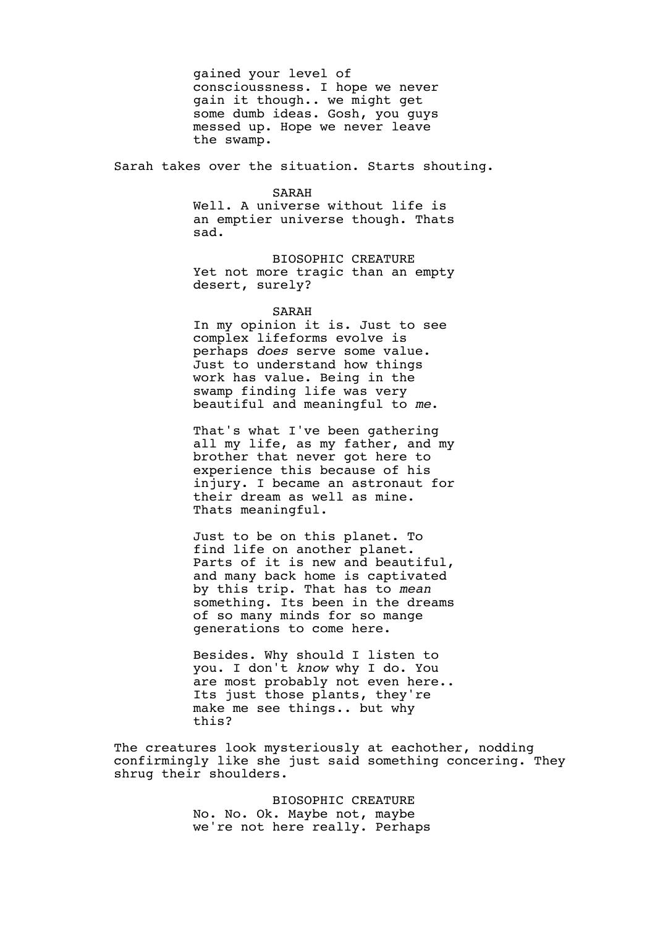gained your level of conscioussness. I hope we never gain it though.. we might get some dumb ideas. Gosh, you guys messed up. Hope we never leave the swamp.

Sarah takes over the situation. Starts shouting.

SARAH

Well. A universe without life is an emptier universe though. Thats sad.

BIOSOPHIC CREATURE Yet not more tragic than an empty desert, surely?

SARAH

In my opinion it is. Just to see complex lifeforms evolve is perhaps *does* serve some value. Just to understand how things work has value. Being in the swamp finding life was very beautiful and meaningful to *me*.

That's what I've been gathering all my life, as my father, and my brother that never got here to experience this because of his injury. I became an astronaut for their dream as well as mine. Thats meaningful.

Just to be on this planet. To find life on another planet. Parts of it is new and beautiful, and many back home is captivated by this trip. That has to *mean* something. Its been in the dreams of so many minds for so mange generations to come here.

Besides. Why should I listen to you. I don't *know* why I do. You are most probably not even here.. Its just those plants, they're make me see things.. but why this?

The creatures look mysteriously at eachother, nodding confirmingly like she just said something concering. They shrug their shoulders.

> BIOSOPHIC CREATURE No. No. Ok. Maybe not, maybe we're not here really. Perhaps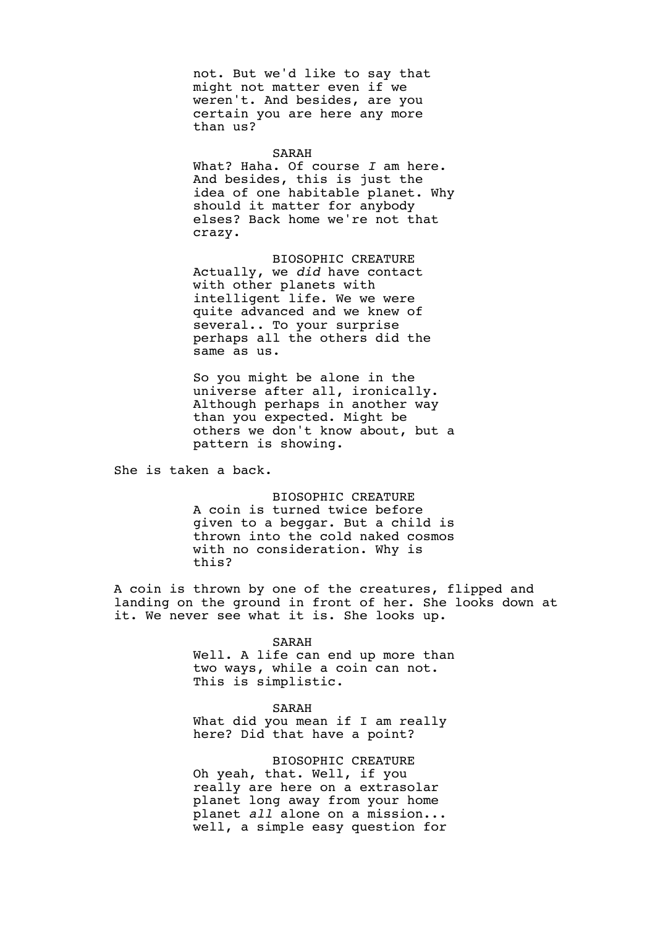not. But we'd like to say that might not matter even if we weren't. And besides, are you certain you are here any more than us?

SARAH

What? Haha. Of course *I* am here. And besides, this is just the idea of one habitable planet. Why should it matter for anybody elses? Back home we're not that crazy.

BIOSOPHIC CREATURE Actually, we *did* have contact with other planets with intelligent life. We we were quite advanced and we knew of several.. To your surprise perhaps all the others did the same as us.

So you might be alone in the universe after all, ironically. Although perhaps in another way than you expected. Might be others we don't know about, but a pattern is showing.

She is taken a back.

BIOSOPHIC CREATURE A coin is turned twice before given to a beggar. But a child is thrown into the cold naked cosmos with no consideration. Why is this?

A coin is thrown by one of the creatures, flipped and landing on the ground in front of her. She looks down at it. We never see what it is. She looks up.

#### SARAH

Well. A life can end up more than two ways, while a coin can not. This is simplistic.

SARAH

What did you mean if I am really here? Did that have a point?

BIOSOPHIC CREATURE Oh yeah, that. Well, if you really are here on a extrasolar planet long away from your home planet *all* alone on a mission... well, a simple easy question for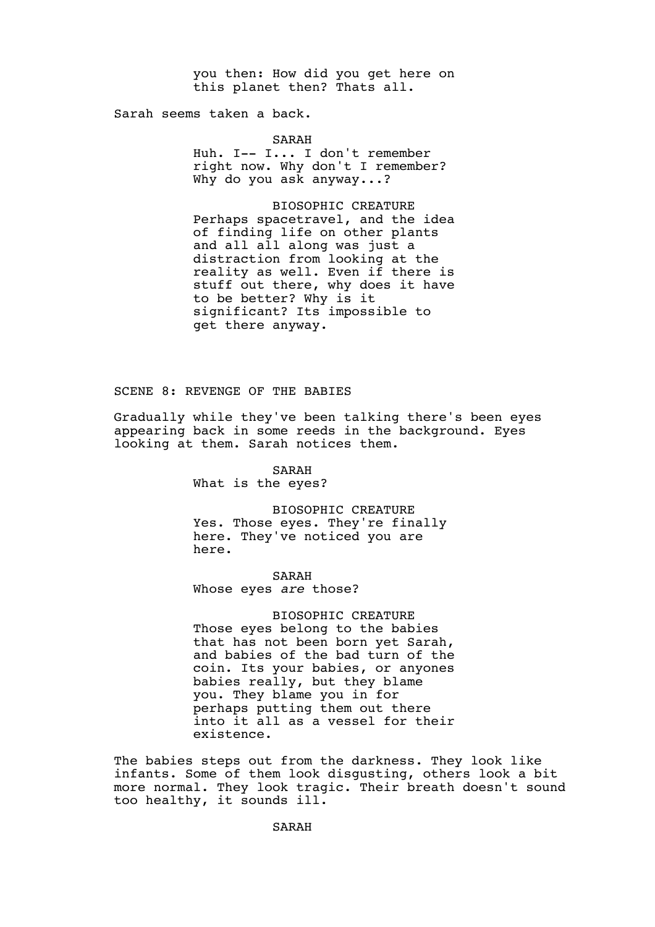you then: How did you get here on this planet then? Thats all.

Sarah seems taken a back.

SARAH

Huh. I-- I... I don't remember right now. Why don't I remember? Why do you ask anyway...?

BIOSOPHIC CREATURE Perhaps spacetravel, and the idea of finding life on other plants and all all along was just a distraction from looking at the reality as well. Even if there is stuff out there, why does it have to be better? Why is it significant? Its impossible to get there anyway.

SCENE 8: REVENGE OF THE BABIES

Gradually while they've been talking there's been eyes appearing back in some reeds in the background. Eyes looking at them. Sarah notices them.

> SARAH What is the eyes?

BIOSOPHIC CREATURE Yes. Those eyes. They're finally here. They've noticed you are here.

SARAH Whose eyes *are* those?

BIOSOPHIC CREATURE Those eyes belong to the babies that has not been born yet Sarah, and babies of the bad turn of the coin. Its your babies, or anyones babies really, but they blame you. They blame you in for perhaps putting them out there into it all as a vessel for their existence.

The babies steps out from the darkness. They look like infants. Some of them look disgusting, others look a bit more normal. They look tragic. Their breath doesn't sound too healthy, it sounds ill.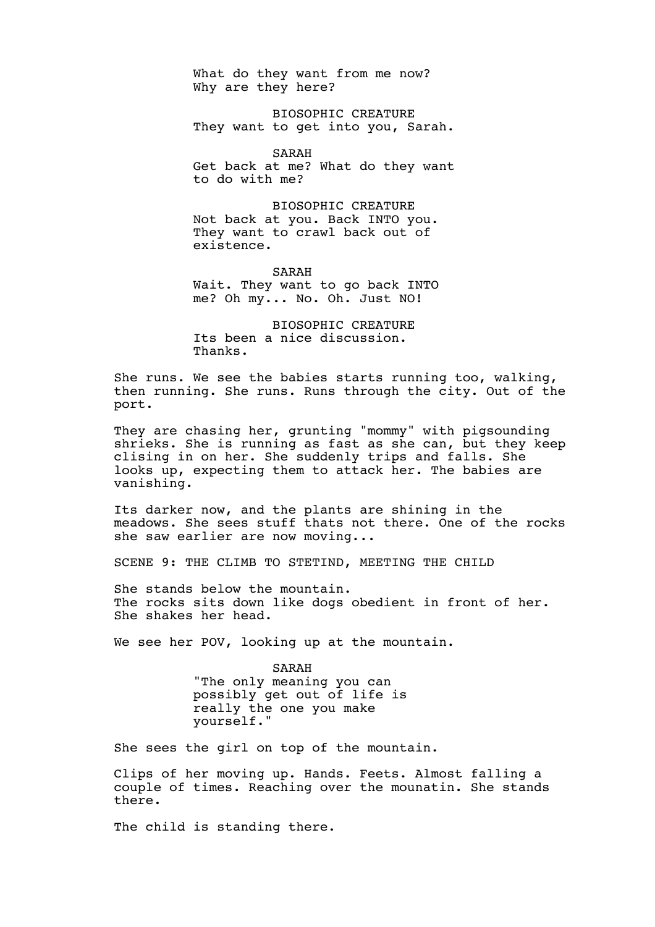What do they want from me now? Why are they here?

BIOSOPHIC CREATURE They want to get into you, Sarah.

SARAH

Get back at me? What do they want to do with me?

BIOSOPHIC CREATURE Not back at you. Back INTO you. They want to crawl back out of existence.

SARAH Wait. They want to go back INTO me? Oh my... No. Oh. Just NO!

BIOSOPHIC CREATURE Its been a nice discussion. Thanks.

She runs. We see the babies starts running too, walking, then running. She runs. Runs through the city. Out of the port.

They are chasing her, grunting "mommy" with pigsounding shrieks. She is running as fast as she can, but they keep clising in on her. She suddenly trips and falls. She looks up, expecting them to attack her. The babies are vanishing.

Its darker now, and the plants are shining in the meadows. She sees stuff thats not there. One of the rocks she saw earlier are now moving...

SCENE 9: THE CLIMB TO STETIND, MEETING THE CHILD

She stands below the mountain. The rocks sits down like dogs obedient in front of her. She shakes her head.

We see her POV, looking up at the mountain.

SARAH "The only meaning you can possibly get out of life is really the one you make yourself."

She sees the girl on top of the mountain.

Clips of her moving up. Hands. Feets. Almost falling a couple of times. Reaching over the mounatin. She stands there.

The child is standing there.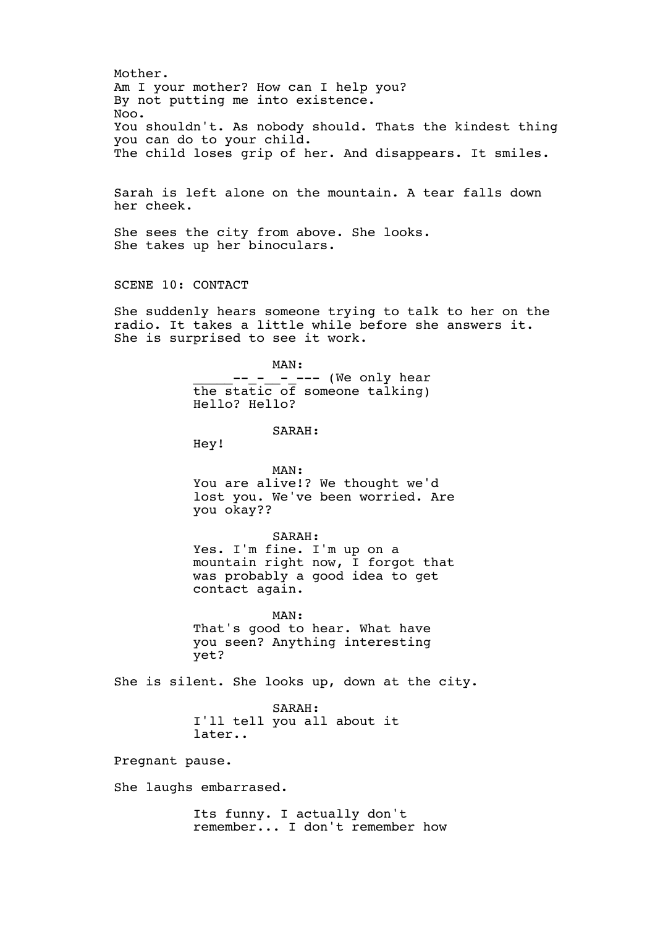Mother. Am I your mother? How can I help you? By not putting me into existence. Noo. You shouldn't. As nobody should. Thats the kindest thing you can do to your child. The child loses grip of her. And disappears. It smiles.

Sarah is left alone on the mountain. A tear falls down her cheek.

She sees the city from above. She looks. She takes up her binoculars.

SCENE 10: CONTACT

She suddenly hears someone trying to talk to her on the radio. It takes a little while before she answers it. She is surprised to see it work.

> MAN: \_\_\_\_\_\_\_\_\_\_\_\_\_\_\_\_\_\_\_\_\_\_ (We only hear the static of someone talking) Hello? Hello?

> > SARAH:

Hey!

MAN: You are alive!? We thought we'd lost you. We've been worried. Are you okay??

SARAH: Yes. I'm fine. I'm up on a mountain right now, I forgot that was probably a good idea to get contact again.

MAN: That's good to hear. What have you seen? Anything interesting yet?

She is silent. She looks up, down at the city.

SARAH: I'll tell you all about it later..

Pregnant pause.

She laughs embarrased.

Its funny. I actually don't remember... I don't remember how